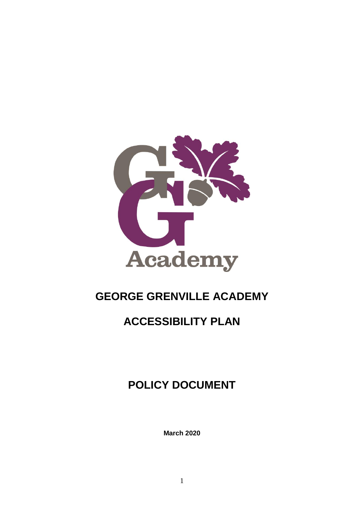

# **GEORGE GRENVILLE ACADEMY**

# **ACCESSIBILITY PLAN**

# **POLICY DOCUMENT**

**March 2020**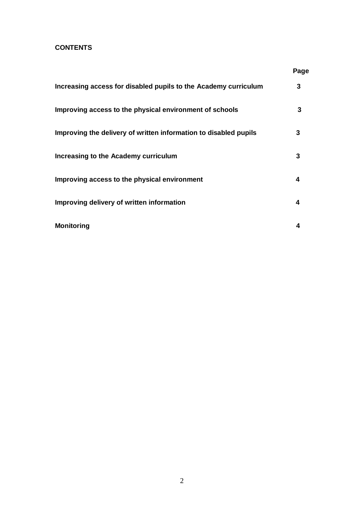### **CONTENTS**

|                                                                  | Page |
|------------------------------------------------------------------|------|
| Increasing access for disabled pupils to the Academy curriculum  | 3    |
| Improving access to the physical environment of schools          | 3    |
| Improving the delivery of written information to disabled pupils | 3    |
| Increasing to the Academy curriculum                             | 3    |
| Improving access to the physical environment                     | 4    |
| Improving delivery of written information                        | 4    |
| <b>Monitoring</b>                                                |      |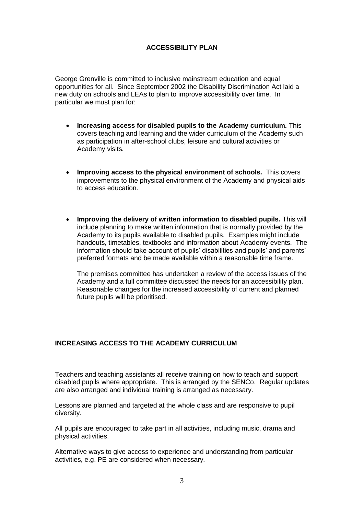#### **ACCESSIBILITY PLAN**

George Grenville is committed to inclusive mainstream education and equal opportunities for all. Since September 2002 the Disability Discrimination Act laid a new duty on schools and LEAs to plan to improve accessibility over time. In particular we must plan for:

- **Increasing access for disabled pupils to the Academy curriculum.** This covers teaching and learning and the wider curriculum of the Academy such as participation in after-school clubs, leisure and cultural activities or Academy visits.
- **Improving access to the physical environment of schools.** This covers improvements to the physical environment of the Academy and physical aids to access education.
- **Improving the delivery of written information to disabled pupils.** This will include planning to make written information that is normally provided by the Academy to its pupils available to disabled pupils. Examples might include handouts, timetables, textbooks and information about Academy events. The information should take account of pupils' disabilities and pupils' and parents' preferred formats and be made available within a reasonable time frame.

The premises committee has undertaken a review of the access issues of the Academy and a full committee discussed the needs for an accessibility plan. Reasonable changes for the increased accessibility of current and planned future pupils will be prioritised.

#### **INCREASING ACCESS TO THE ACADEMY CURRICULUM**

Teachers and teaching assistants all receive training on how to teach and support disabled pupils where appropriate. This is arranged by the SENCo. Regular updates are also arranged and individual training is arranged as necessary.

Lessons are planned and targeted at the whole class and are responsive to pupil diversity.

All pupils are encouraged to take part in all activities, including music, drama and physical activities.

Alternative ways to give access to experience and understanding from particular activities, e.g. PE are considered when necessary.